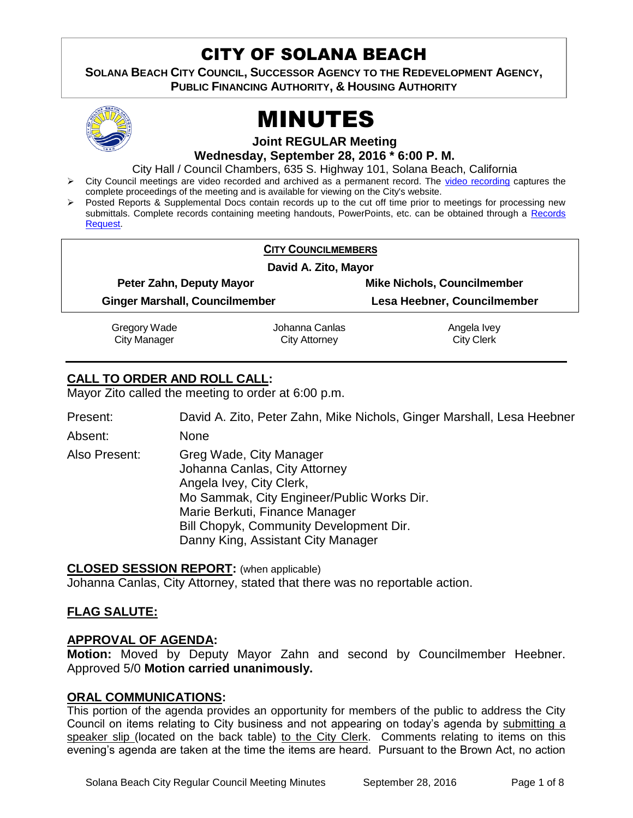# CITY OF SOLANA BEACH

**SOLANA BEACH CITY COUNCIL, SUCCESSOR AGENCY TO THE REDEVELOPMENT AGENCY, PUBLIC FINANCING AUTHORITY, & HOUSING AUTHORITY** 



# MINUTES

**Joint REGULAR Meeting**

**Wednesday, September 28, 2016 \* 6:00 P. M.**

City Hall / Council Chambers, 635 S. Highway 101, Solana Beach, California

- > City Council meetings are video recorded and archived as a permanent record. The [video recording](https://solanabeach.12milesout.com/video/meeting/6a8f0254-df34-470f-b349-19452a989035) captures the complete proceedings of the meeting and is available for viewing on the City's website.
- Posted Reports & Supplemental Docs contain records up to the cut off time prior to meetings for processing new submittals. Complete records containing meeting handouts, PowerPoints, etc. can be obtained through a [Records](http://www.ci.solana-beach.ca.us/index.asp?SEC=F5D45D10-70CE-4291-A27C-7BD633FC6742&Type=B_BASIC)  [Request.](http://www.ci.solana-beach.ca.us/index.asp?SEC=F5D45D10-70CE-4291-A27C-7BD633FC6742&Type=B_BASIC)

|                                                                   | <b>CITY COUNCILMEMBERS</b> |                                    |  |
|-------------------------------------------------------------------|----------------------------|------------------------------------|--|
|                                                                   | David A. Zito, Mayor       |                                    |  |
| Peter Zahn, Deputy Mayor<br><b>Ginger Marshall, Councilmember</b> |                            | <b>Mike Nichols, Councilmember</b> |  |
|                                                                   |                            | Lesa Heebner, Councilmember        |  |
| Gregory Wade                                                      | Johanna Canlas             | Angela Ivey                        |  |
| <b>City Manager</b>                                               | City Attorney              | <b>City Clerk</b>                  |  |

# **CALL TO ORDER AND ROLL CALL:**

Mayor Zito called the meeting to order at 6:00 p.m.

Present: David A. Zito, Peter Zahn, Mike Nichols, Ginger Marshall, Lesa Heebner

Absent: None

Also Present: Greg Wade, City Manager Johanna Canlas, City Attorney Angela Ivey, City Clerk, Mo Sammak, City Engineer/Public Works Dir. Marie Berkuti, Finance Manager Bill Chopyk, Community Development Dir. Danny King, Assistant City Manager

# **CLOSED SESSION REPORT:** (when applicable)

Johanna Canlas, City Attorney, stated that there was no reportable action.

# **FLAG SALUTE:**

# **APPROVAL OF AGENDA:**

**Motion:** Moved by Deputy Mayor Zahn and second by Councilmember Heebner. Approved 5/0 **Motion carried unanimously.**

# **ORAL COMMUNICATIONS:**

This portion of the agenda provides an opportunity for members of the public to address the City Council on items relating to City business and not appearing on today's agenda by submitting a speaker slip (located on the back table) to the City Clerk. Comments relating to items on this evening's agenda are taken at the time the items are heard. Pursuant to the Brown Act, no action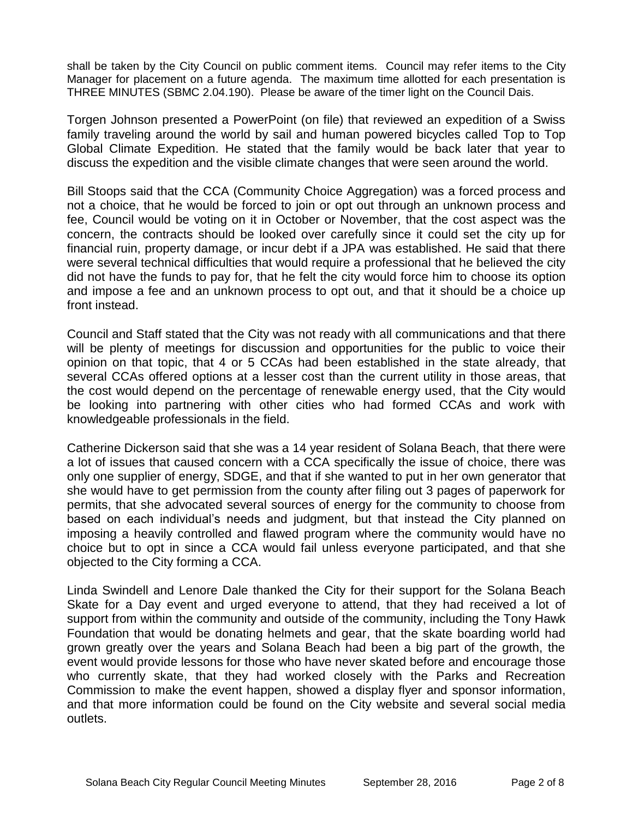shall be taken by the City Council on public comment items. Council may refer items to the City Manager for placement on a future agenda. The maximum time allotted for each presentation is THREE MINUTES (SBMC 2.04.190). Please be aware of the timer light on the Council Dais.

Torgen Johnson presented a PowerPoint (on file) that reviewed an expedition of a Swiss family traveling around the world by sail and human powered bicycles called Top to Top Global Climate Expedition. He stated that the family would be back later that year to discuss the expedition and the visible climate changes that were seen around the world.

Bill Stoops said that the CCA (Community Choice Aggregation) was a forced process and not a choice, that he would be forced to join or opt out through an unknown process and fee, Council would be voting on it in October or November, that the cost aspect was the concern, the contracts should be looked over carefully since it could set the city up for financial ruin, property damage, or incur debt if a JPA was established. He said that there were several technical difficulties that would require a professional that he believed the city did not have the funds to pay for, that he felt the city would force him to choose its option and impose a fee and an unknown process to opt out, and that it should be a choice up front instead.

Council and Staff stated that the City was not ready with all communications and that there will be plenty of meetings for discussion and opportunities for the public to voice their opinion on that topic, that 4 or 5 CCAs had been established in the state already, that several CCAs offered options at a lesser cost than the current utility in those areas, that the cost would depend on the percentage of renewable energy used, that the City would be looking into partnering with other cities who had formed CCAs and work with knowledgeable professionals in the field.

Catherine Dickerson said that she was a 14 year resident of Solana Beach, that there were a lot of issues that caused concern with a CCA specifically the issue of choice, there was only one supplier of energy, SDGE, and that if she wanted to put in her own generator that she would have to get permission from the county after filing out 3 pages of paperwork for permits, that she advocated several sources of energy for the community to choose from based on each individual's needs and judgment, but that instead the City planned on imposing a heavily controlled and flawed program where the community would have no choice but to opt in since a CCA would fail unless everyone participated, and that she objected to the City forming a CCA.

Linda Swindell and Lenore Dale thanked the City for their support for the Solana Beach Skate for a Day event and urged everyone to attend, that they had received a lot of support from within the community and outside of the community, including the Tony Hawk Foundation that would be donating helmets and gear, that the skate boarding world had grown greatly over the years and Solana Beach had been a big part of the growth, the event would provide lessons for those who have never skated before and encourage those who currently skate, that they had worked closely with the Parks and Recreation Commission to make the event happen, showed a display flyer and sponsor information, and that more information could be found on the City website and several social media outlets.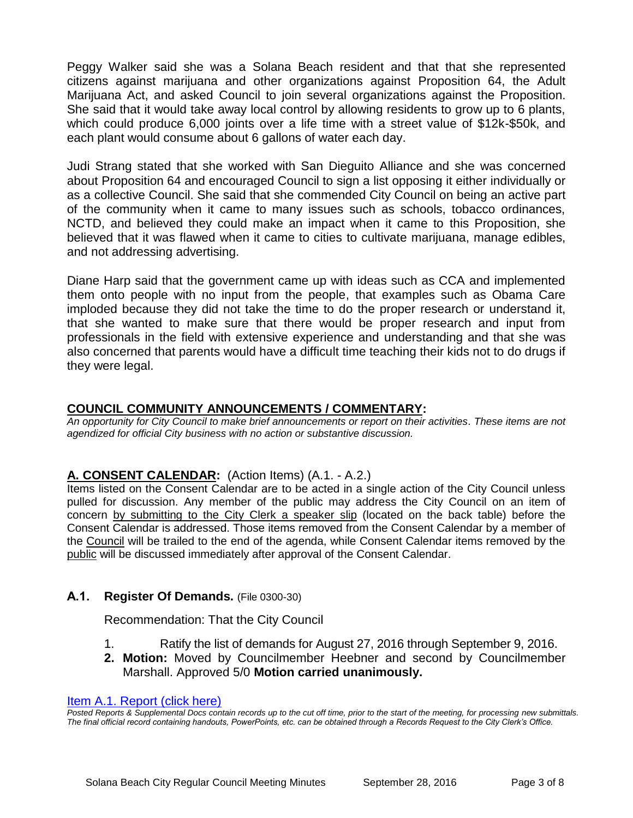Peggy Walker said she was a Solana Beach resident and that that she represented citizens against marijuana and other organizations against Proposition 64, the Adult Marijuana Act, and asked Council to join several organizations against the Proposition. She said that it would take away local control by allowing residents to grow up to 6 plants, which could produce 6,000 joints over a life time with a street value of \$12k-\$50k, and each plant would consume about 6 gallons of water each day.

Judi Strang stated that she worked with San Dieguito Alliance and she was concerned about Proposition 64 and encouraged Council to sign a list opposing it either individually or as a collective Council. She said that she commended City Council on being an active part of the community when it came to many issues such as schools, tobacco ordinances, NCTD, and believed they could make an impact when it came to this Proposition, she believed that it was flawed when it came to cities to cultivate marijuana, manage edibles, and not addressing advertising.

Diane Harp said that the government came up with ideas such as CCA and implemented them onto people with no input from the people, that examples such as Obama Care imploded because they did not take the time to do the proper research or understand it, that she wanted to make sure that there would be proper research and input from professionals in the field with extensive experience and understanding and that she was also concerned that parents would have a difficult time teaching their kids not to do drugs if they were legal.

# **COUNCIL COMMUNITY ANNOUNCEMENTS / COMMENTARY:**

*An opportunity for City Council to make brief announcements or report on their activities. These items are not agendized for official City business with no action or substantive discussion.* 

# **A. CONSENT CALENDAR:** (Action Items) (A.1. - A.2.)

Items listed on the Consent Calendar are to be acted in a single action of the City Council unless pulled for discussion. Any member of the public may address the City Council on an item of concern by submitting to the City Clerk a speaker slip (located on the back table) before the Consent Calendar is addressed. Those items removed from the Consent Calendar by a member of the Council will be trailed to the end of the agenda, while Consent Calendar items removed by the public will be discussed immediately after approval of the Consent Calendar.

# **A.1. Register Of Demands.** (File 0300-30)

Recommendation: That the City Council

- 1. Ratify the list of demands for August 27, 2016 through September 9, 2016.
- **2. Motion:** Moved by Councilmember Heebner and second by Councilmember Marshall. Approved 5/0 **Motion carried unanimously.**

#### [Item A.1. Report \(click here\)](https://solanabeach.govoffice3.com/vertical/Sites/%7B840804C2-F869-4904-9AE3-720581350CE7%7D/uploads/Item_A.1._Report_(click_here)_09-28-16.PDF)

*Posted Reports & Supplemental Docs contain records up to the cut off time, prior to the start of the meeting, for processing new submittals. The final official record containing handouts, PowerPoints, etc. can be obtained through a Records Request to the City Clerk's Office.*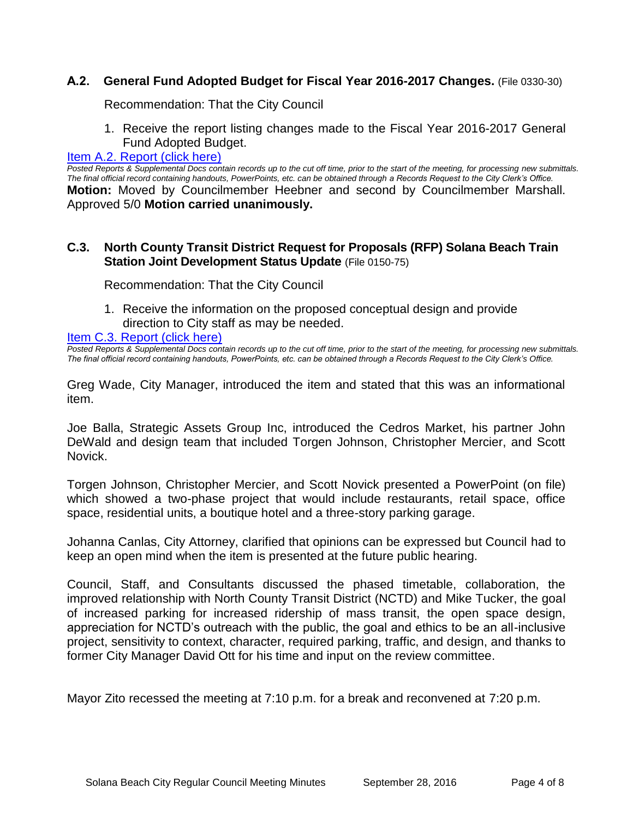# **A.2. General Fund Adopted Budget for Fiscal Year 2016-2017 Changes.** (File 0330-30)

Recommendation: That the City Council

1. Receive the report listing changes made to the Fiscal Year 2016-2017 General Fund Adopted Budget.

#### [Item A.2. Report \(click here\)](https://solanabeach.govoffice3.com/vertical/Sites/%7B840804C2-F869-4904-9AE3-720581350CE7%7D/uploads/Item_A.2._Report_(click_here)_09-28-16.PDF)

*Posted Reports & Supplemental Docs contain records up to the cut off time, prior to the start of the meeting, for processing new submittals. The final official record containing handouts, PowerPoints, etc. can be obtained through a Records Request to the City Clerk's Office.* **Motion:** Moved by Councilmember Heebner and second by Councilmember Marshall. Approved 5/0 **Motion carried unanimously.**

#### **C.3. North County Transit District Request for Proposals (RFP) Solana Beach Train Station Joint Development Status Update** (File 0150-75)

Recommendation: That the City Council

1. Receive the information on the proposed conceptual design and provide direction to City staff as may be needed.

#### [Item C.3. Report \(click here\)](https://solanabeach.govoffice3.com/vertical/Sites/%7B840804C2-F869-4904-9AE3-720581350CE7%7D/uploads/Item_C.3._Report_(click_here)_09-28-2016.PDF)

*Posted Reports & Supplemental Docs contain records up to the cut off time, prior to the start of the meeting, for processing new submittals. The final official record containing handouts, PowerPoints, etc. can be obtained through a Records Request to the City Clerk's Office.*

Greg Wade, City Manager, introduced the item and stated that this was an informational item.

Joe Balla, Strategic Assets Group Inc, introduced the Cedros Market, his partner John DeWald and design team that included Torgen Johnson, Christopher Mercier, and Scott Novick.

Torgen Johnson, Christopher Mercier, and Scott Novick presented a PowerPoint (on file) which showed a two-phase project that would include restaurants, retail space, office space, residential units, a boutique hotel and a three-story parking garage.

Johanna Canlas, City Attorney, clarified that opinions can be expressed but Council had to keep an open mind when the item is presented at the future public hearing.

Council, Staff, and Consultants discussed the phased timetable, collaboration, the improved relationship with North County Transit District (NCTD) and Mike Tucker, the goal of increased parking for increased ridership of mass transit, the open space design, appreciation for NCTD's outreach with the public, the goal and ethics to be an all-inclusive project, sensitivity to context, character, required parking, traffic, and design, and thanks to former City Manager David Ott for his time and input on the review committee.

Mayor Zito recessed the meeting at 7:10 p.m. for a break and reconvened at 7:20 p.m.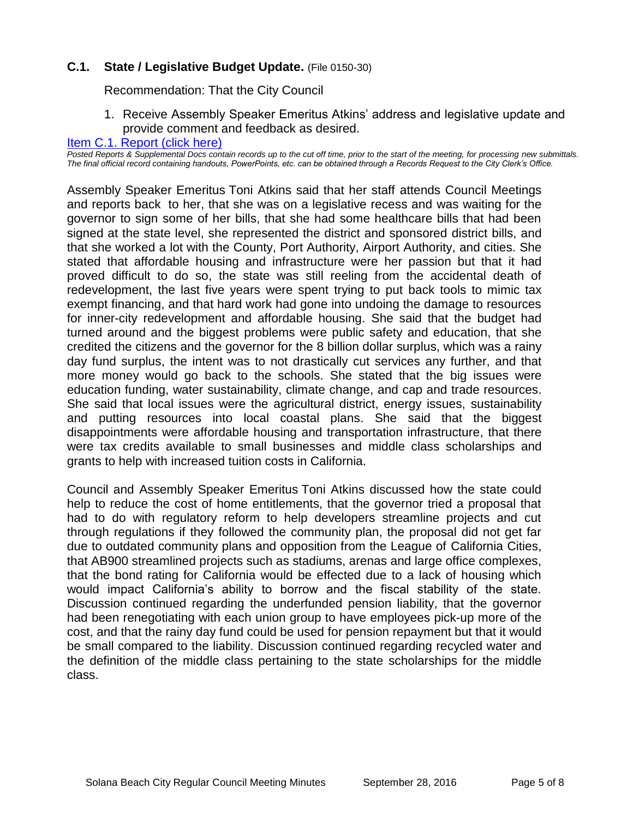# **C.1. State / Legislative Budget Update.** (File 0150-30)

Recommendation: That the City Council

1. Receive Assembly Speaker Emeritus Atkins' address and legislative update and provide comment and feedback as desired.

#### [Item C.1. Report \(click here\)](https://solanabeach.govoffice3.com/vertical/Sites/%7B840804C2-F869-4904-9AE3-720581350CE7%7D/uploads/Item_C.1._Report_(click_here)_09-28-16.pdf)

*Posted Reports & Supplemental Docs contain records up to the cut off time, prior to the start of the meeting, for processing new submittals. The final official record containing handouts, PowerPoints, etc. can be obtained through a Records Request to the City Clerk's Office.*

Assembly Speaker Emeritus Toni Atkins said that her staff attends Council Meetings and reports back to her, that she was on a legislative recess and was waiting for the governor to sign some of her bills, that she had some healthcare bills that had been signed at the state level, she represented the district and sponsored district bills, and that she worked a lot with the County, Port Authority, Airport Authority, and cities. She stated that affordable housing and infrastructure were her passion but that it had proved difficult to do so, the state was still reeling from the accidental death of redevelopment, the last five years were spent trying to put back tools to mimic tax exempt financing, and that hard work had gone into undoing the damage to resources for inner-city redevelopment and affordable housing. She said that the budget had turned around and the biggest problems were public safety and education, that she credited the citizens and the governor for the 8 billion dollar surplus, which was a rainy day fund surplus, the intent was to not drastically cut services any further, and that more money would go back to the schools. She stated that the big issues were education funding, water sustainability, climate change, and cap and trade resources. She said that local issues were the agricultural district, energy issues, sustainability and putting resources into local coastal plans. She said that the biggest disappointments were affordable housing and transportation infrastructure, that there were tax credits available to small businesses and middle class scholarships and grants to help with increased tuition costs in California.

Council and Assembly Speaker Emeritus Toni Atkins discussed how the state could help to reduce the cost of home entitlements, that the governor tried a proposal that had to do with regulatory reform to help developers streamline projects and cut through regulations if they followed the community plan, the proposal did not get far due to outdated community plans and opposition from the League of California Cities, that AB900 streamlined projects such as stadiums, arenas and large office complexes, that the bond rating for California would be effected due to a lack of housing which would impact California's ability to borrow and the fiscal stability of the state. Discussion continued regarding the underfunded pension liability, that the governor had been renegotiating with each union group to have employees pick-up more of the cost, and that the rainy day fund could be used for pension repayment but that it would be small compared to the liability. Discussion continued regarding recycled water and the definition of the middle class pertaining to the state scholarships for the middle class.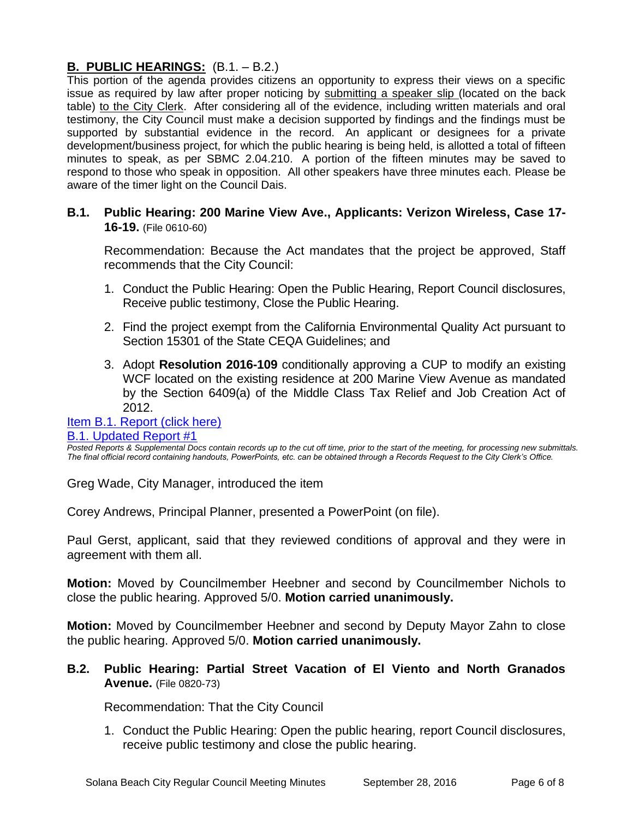# **B. PUBLIC HEARINGS:** (B.1. – B.2.)

This portion of the agenda provides citizens an opportunity to express their views on a specific issue as required by law after proper noticing by submitting a speaker slip (located on the back table) to the City Clerk. After considering all of the evidence, including written materials and oral testimony, the City Council must make a decision supported by findings and the findings must be supported by substantial evidence in the record. An applicant or designees for a private development/business project, for which the public hearing is being held, is allotted a total of fifteen minutes to speak, as per SBMC 2.04.210. A portion of the fifteen minutes may be saved to respond to those who speak in opposition. All other speakers have three minutes each. Please be aware of the timer light on the Council Dais.

**B.1. Public Hearing: 200 Marine View Ave., Applicants: Verizon Wireless, Case 17- 16-19.** (File 0610-60)

Recommendation: Because the Act mandates that the project be approved, Staff recommends that the City Council:

- 1. Conduct the Public Hearing: Open the Public Hearing, Report Council disclosures, Receive public testimony, Close the Public Hearing.
- 2. Find the project exempt from the California Environmental Quality Act pursuant to Section 15301 of the State CEQA Guidelines; and
- 3. Adopt **Resolution 2016-109** conditionally approving a CUP to modify an existing WCF located on the existing residence at 200 Marine View Avenue as mandated by the Section 6409(a) of the Middle Class Tax Relief and Job Creation Act of 2012.

#### [Item B.1. Report \(click here\)](https://solanabeach.govoffice3.com/vertical/Sites/%7B840804C2-F869-4904-9AE3-720581350CE7%7D/uploads/Item_B.1._Report_(click_here)_09-28-16.PDF) [B.1. Updated Report #1](https://solanabeach.govoffice3.com/vertical/Sites/%7B840804C2-F869-4904-9AE3-720581350CE7%7D/uploads/B.1._Updated_Report_1_09-28-16.pdf)

*Posted Reports & Supplemental Docs contain records up to the cut off time, prior to the start of the meeting, for processing new submittals. The final official record containing handouts, PowerPoints, etc. can be obtained through a Records Request to the City Clerk's Office.*

Greg Wade, City Manager, introduced the item

Corey Andrews, Principal Planner, presented a PowerPoint (on file).

Paul Gerst, applicant, said that they reviewed conditions of approval and they were in agreement with them all.

**Motion:** Moved by Councilmember Heebner and second by Councilmember Nichols to close the public hearing. Approved 5/0. **Motion carried unanimously.**

**Motion:** Moved by Councilmember Heebner and second by Deputy Mayor Zahn to close the public hearing. Approved 5/0. **Motion carried unanimously.**

# **B.2. Public Hearing: Partial Street Vacation of El Viento and North Granados Avenue.** (File 0820-73)

Recommendation: That the City Council

1. Conduct the Public Hearing: Open the public hearing, report Council disclosures, receive public testimony and close the public hearing.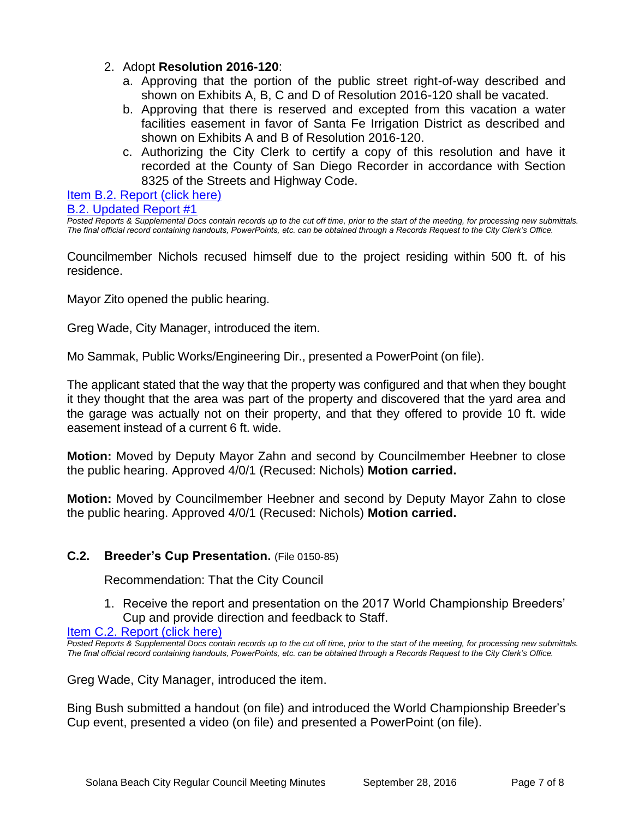# 2. Adopt **Resolution 2016-120**:

- a. Approving that the portion of the public street right-of-way described and shown on Exhibits A, B, C and D of Resolution 2016-120 shall be vacated.
- b. Approving that there is reserved and excepted from this vacation a water facilities easement in favor of Santa Fe Irrigation District as described and shown on Exhibits A and B of Resolution 2016-120.
- c. Authorizing the City Clerk to certify a copy of this resolution and have it recorded at the County of San Diego Recorder in accordance with Section 8325 of the Streets and Highway Code.

[Item B.2. Report \(click here\)](https://solanabeach.govoffice3.com/vertical/Sites/%7B840804C2-F869-4904-9AE3-720581350CE7%7D/uploads/Item_B.2._Report_(click_here)_09-28-16.PDF)

#### [B.2. Updated Report #1](https://solanabeach.govoffice3.com/vertical/Sites/%7B840804C2-F869-4904-9AE3-720581350CE7%7D/uploads/B.2._Updated_Report_1_09-28-16.pdf)

*Posted Reports & Supplemental Docs contain records up to the cut off time, prior to the start of the meeting, for processing new submittals. The final official record containing handouts, PowerPoints, etc. can be obtained through a Records Request to the City Clerk's Office.*

Councilmember Nichols recused himself due to the project residing within 500 ft. of his residence.

Mayor Zito opened the public hearing.

Greg Wade, City Manager, introduced the item.

Mo Sammak, Public Works/Engineering Dir., presented a PowerPoint (on file).

The applicant stated that the way that the property was configured and that when they bought it they thought that the area was part of the property and discovered that the yard area and the garage was actually not on their property, and that they offered to provide 10 ft. wide easement instead of a current 6 ft. wide.

**Motion:** Moved by Deputy Mayor Zahn and second by Councilmember Heebner to close the public hearing. Approved 4/0/1 (Recused: Nichols) **Motion carried.**

**Motion:** Moved by Councilmember Heebner and second by Deputy Mayor Zahn to close the public hearing. Approved 4/0/1 (Recused: Nichols) **Motion carried.**

# **C.2. Breeder's Cup Presentation.** (File 0150-85)

Recommendation: That the City Council

1. Receive the report and presentation on the 2017 World Championship Breeders' Cup and provide direction and feedback to Staff.

[Item C.2. Report \(click here\)](https://solanabeach.govoffice3.com/vertical/Sites/%7B840804C2-F869-4904-9AE3-720581350CE7%7D/uploads/Item_C.2._Report_(click_here)_09-28-16.pdf)

*Posted Reports & Supplemental Docs contain records up to the cut off time, prior to the start of the meeting, for processing new submittals. The final official record containing handouts, PowerPoints, etc. can be obtained through a Records Request to the City Clerk's Office.*

Greg Wade, City Manager, introduced the item.

Bing Bush submitted a handout (on file) and introduced the World Championship Breeder's Cup event, presented a video (on file) and presented a PowerPoint (on file).